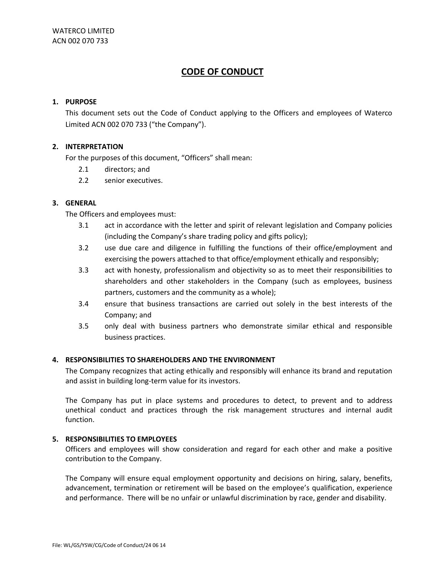# **1. PURPOSE**

This document sets out the Code of Conduct applying to the Officers and employees of Waterco Limited ACN 002 070 733 ("the Company").

# **2. INTERPRETATION**

For the purposes of this document, "Officers" shall mean:

- 2.1 directors; and
- 2.2 senior executives.

# **3. GENERAL**

The Officers and employees must:

- 3.1 act in accordance with the letter and spirit of relevant legislation and Company policies (including the Company's share trading policy and gifts policy);
- 3.2 use due care and diligence in fulfilling the functions of their office/employment and exercising the powers attached to that office/employment ethically and responsibly;
- 3.3 act with honesty, professionalism and objectivity so as to meet their responsibilities to shareholders and other stakeholders in the Company (such as employees, business partners, customers and the community as a whole);
- 3.4 ensure that business transactions are carried out solely in the best interests of the Company; and
- 3.5 only deal with business partners who demonstrate similar ethical and responsible business practices.

### **4. RESPONSIBILITIES TO SHAREHOLDERS AND THE ENVIRONMENT**

The Company recognizes that acting ethically and responsibly will enhance its brand and reputation and assist in building long-term value for its investors.

The Company has put in place systems and procedures to detect, to prevent and to address unethical conduct and practices through the risk management structures and internal audit function.

#### **5. RESPONSIBILITIES TO EMPLOYEES**

Officers and employees will show consideration and regard for each other and make a positive contribution to the Company.

The Company will ensure equal employment opportunity and decisions on hiring, salary, benefits, advancement, termination or retirement will be based on the employee's qualification, experience and performance. There will be no unfair or unlawful discrimination by race, gender and disability.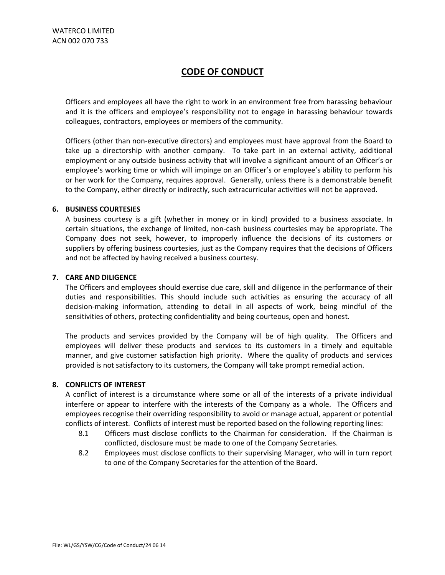Officers and employees all have the right to work in an environment free from harassing behaviour and it is the officers and employee's responsibility not to engage in harassing behaviour towards colleagues, contractors, employees or members of the community.

Officers (other than non-executive directors) and employees must have approval from the Board to take up a directorship with another company. To take part in an external activity, additional employment or any outside business activity that will involve a significant amount of an Officer's or employee's working time or which will impinge on an Officer's or employee's ability to perform his or her work for the Company, requires approval. Generally, unless there is a demonstrable benefit to the Company, either directly or indirectly, such extracurricular activities will not be approved.

#### **6. BUSINESS COURTESIES**

A business courtesy is a gift (whether in money or in kind) provided to a business associate. In certain situations, the exchange of limited, non-cash business courtesies may be appropriate. The Company does not seek, however, to improperly influence the decisions of its customers or suppliers by offering business courtesies, just as the Company requires that the decisions of Officers and not be affected by having received a business courtesy.

#### **7. CARE AND DILIGENCE**

The Officers and employees should exercise due care, skill and diligence in the performance of their duties and responsibilities. This should include such activities as ensuring the accuracy of all decision-making information, attending to detail in all aspects of work, being mindful of the sensitivities of others, protecting confidentiality and being courteous, open and honest.

The products and services provided by the Company will be of high quality. The Officers and employees will deliver these products and services to its customers in a timely and equitable manner, and give customer satisfaction high priority. Where the quality of products and services provided is not satisfactory to its customers, the Company will take prompt remedial action.

### **8. CONFLICTS OF INTEREST**

A conflict of interest is a circumstance where some or all of the interests of a private individual interfere or appear to interfere with the interests of the Company as a whole. The Officers and employees recognise their overriding responsibility to avoid or manage actual, apparent or potential conflicts of interest. Conflicts of interest must be reported based on the following reporting lines:

- 8.1 Officers must disclose conflicts to the Chairman for consideration. If the Chairman is conflicted, disclosure must be made to one of the Company Secretaries.
- 8.2 Employees must disclose conflicts to their supervising Manager, who will in turn report to one of the Company Secretaries for the attention of the Board.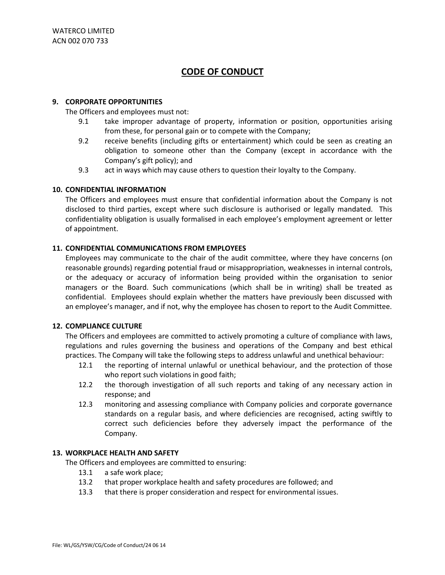### **9. CORPORATE OPPORTUNITIES**

The Officers and employees must not:

- 9.1 take improper advantage of property, information or position, opportunities arising from these, for personal gain or to compete with the Company;
- 9.2 receive benefits (including gifts or entertainment) which could be seen as creating an obligation to someone other than the Company (except in accordance with the Company's gift policy); and
- 9.3 act in ways which may cause others to question their loyalty to the Company.

# **10. CONFIDENTIAL INFORMATION**

The Officers and employees must ensure that confidential information about the Company is not disclosed to third parties, except where such disclosure is authorised or legally mandated. This confidentiality obligation is usually formalised in each employee's employment agreement or letter of appointment.

# **11. CONFIDENTIAL COMMUNICATIONS FROM EMPLOYEES**

Employees may communicate to the chair of the audit committee, where they have concerns (on reasonable grounds) regarding potential fraud or misappropriation, weaknesses in internal controls, or the adequacy or accuracy of information being provided within the organisation to senior managers or the Board. Such communications (which shall be in writing) shall be treated as confidential. Employees should explain whether the matters have previously been discussed with an employee's manager, and if not, why the employee has chosen to report to the Audit Committee.

#### **12. COMPLIANCE CULTURE**

The Officers and employees are committed to actively promoting a culture of compliance with laws, regulations and rules governing the business and operations of the Company and best ethical practices. The Company will take the following steps to address unlawful and unethical behaviour:

- 12.1 the reporting of internal unlawful or unethical behaviour, and the protection of those who report such violations in good faith;
- 12.2 the thorough investigation of all such reports and taking of any necessary action in response; and
- 12.3 monitoring and assessing compliance with Company policies and corporate governance standards on a regular basis, and where deficiencies are recognised, acting swiftly to correct such deficiencies before they adversely impact the performance of the Company.

#### **13. WORKPLACE HEALTH AND SAFETY**

The Officers and employees are committed to ensuring:

- 13.1 a safe work place;
- 13.2 that proper workplace health and safety procedures are followed; and
- 13.3 that there is proper consideration and respect for environmental issues.